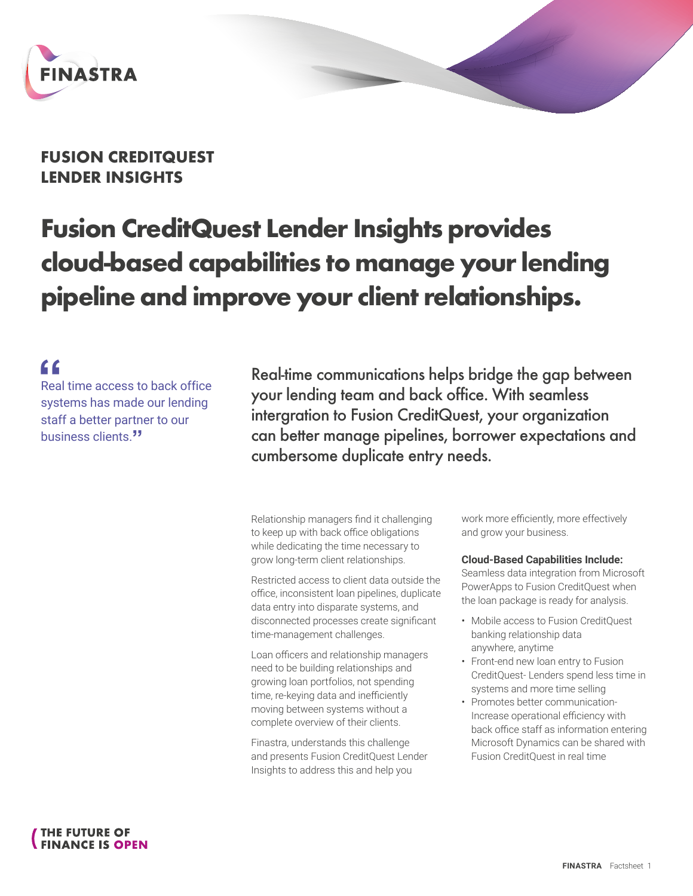

## **FUSION CREDITQUEST LENDER INSIGHTS**

# **Fusion CreditQuest Lender Insights provides cloud-based capabilities to manage your lending pipeline and improve your client relationships.**

# **"**

Real time access to back office systems has made our lending staff a better partner to our business clients.**"**

Real-time communications helps bridge the gap between your lending team and back office. With seamless intergration to Fusion CreditQuest, your organization can better manage pipelines, borrower expectations and cumbersome duplicate entry needs.

Relationship managers find it challenging to keep up with back office obligations while dedicating the time necessary to grow long-term client relationships.

Restricted access to client data outside the office, inconsistent loan pipelines, duplicate data entry into disparate systems, and disconnected processes create significant time-management challenges.

Loan officers and relationship managers need to be building relationships and growing loan portfolios, not spending time, re-keying data and inefficiently moving between systems without a complete overview of their clients.

Finastra, understands this challenge and presents Fusion CreditQuest Lender Insights to address this and help you

work more efficiently, more effectively and grow your business.

#### **Cloud-Based Capabilities Include:**

Seamless data integration from Microsoft PowerApps to Fusion CreditQuest when the loan package is ready for analysis.

- Mobile access to Fusion CreditQuest banking relationship data anywhere, anytime
- Front-end new loan entry to Fusion CreditQuest- Lenders spend less time in systems and more time selling
- Promotes better communication-Increase operational efficiency with back office staff as information entering Microsoft Dynamics can be shared with Fusion CreditQuest in real time